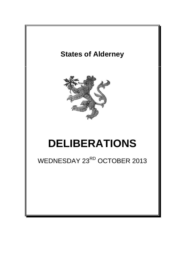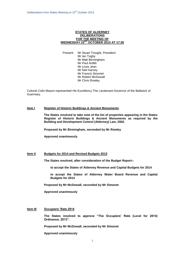## **STATES OF ALDERNEY DELIBERATIONS FOR THE MEETING OF WEDNESDAY 23RD OCTOBER 2013 AT 17:30**

Present: Mr Stuart Trought, President Mr Ian Tugby Mr Matt Birmingham Mr Paul Arditti Mr Louis Jean Mr Neil Harvey Mr Francis Simonet Mr Robert McDowall Mr Chris Rowley

Colonel Colin Mason represented His Excellency The Lieutenant-Governor of the Bailiwick of Guernsey.

# **Item l Register of Historic Buildings & Ancient Monuments**

**The States resolved to take note of the list of properties appearing in the States Register of Historic Buildings & Ancient Monuments as required by the Building and Development Control (Alderney) Law, 2002.**

**Proposed by Mr Birmingham, seconded by Mr Rowley**

**Approved unanimously**

# **Item Il Budgets for 2014 and Revised Budgets 2013**

**The States resolved, after consideration of the Budget Report:-**

**to accept the States of Alderney Revenue and Capital Budgets for 2014**

**to accept the States of Alderney Water Board Revenue and Capital Budgets for 2014**

**Proposed by Mr McDowall, seconded by Mr Simonet**

**Approved unanimously**

# **Item IIl Occupiers' Rate 2014**

**The States resolved to approve "The Occupiers' Rate (Level for 2014) Ordinance, 2013".**

**Proposed by Mr McDowall, seconded by Mr Simonet**

**Approved unanimously**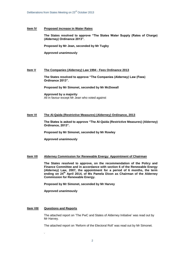## **Item lV Proposed increase in Water Rates**

**The States resolved to approve "The States Water Supply (Rates of Charge) (Alderney) Ordinance 2013".**

**Proposed by Mr Jean, seconded by Mr Tugby**

**Approved unanimously**

## **Item V The Companies (Alderney) Law 1994 - Fees Ordinance 2013**

**The States resolved to approve "The Companies (Alderney) Law (Fees) Ordinance 2013".**

**Proposed by Mr Simonet, seconded by Mr McDowall**

**Approved by a majority** All in favour except Mr Jean who voted against

#### **Item VI The Al-Qaida (Restrictive Measures) (Alderney) Ordinance, 2013**

**The States is asked to approve "The Al-Qaida (Restrictive Measures) (Alderney) Ordinance, 2013".**

**Proposed by Mr Simonet, seconded by Mr Rowley**

**Approved unanimously**

# **Item VII Alderney Commission for Renewable Energy: Appointment of Chairman**

**The States resolved to approve, on the recommendation of the Policy and Finance Committee and in accordance with section 6 of the Renewable Energy (Alderney) Law, 2007, the appointment for a period of 6 months, the term**  ending on 24<sup>th</sup> April 2014, of Ms Pamela Dixon as Chairman of the Alderney **Commission for Renewable Energy.** 

**Proposed by Mr Simonet, seconded by Mr Harvey**

**Approved unanimously**

#### **Item VIII Questions and Reports**

.

The attached report on 'The PwC and States of Alderney Initiative' was read out by Mr Harvey.

The attached report on 'Reform of the Electoral Roll' was read out by Mr Simonet.